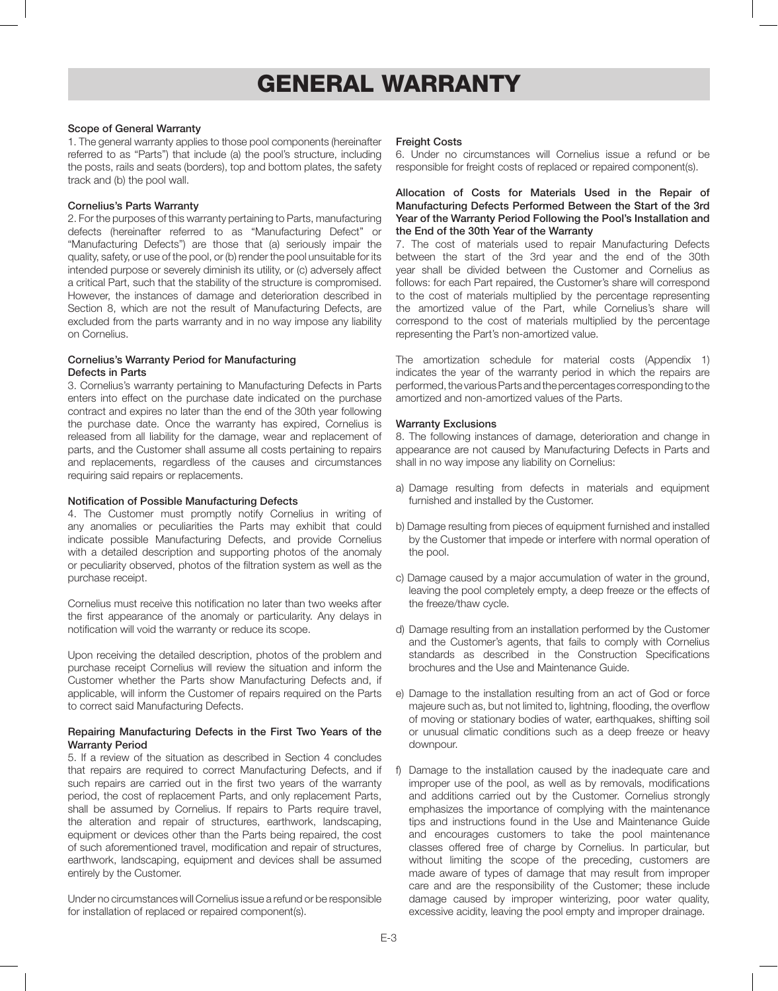# GENERAL WARRANTY

## Scope of General Warranty

1. The general warranty applies to those pool components (hereinafter referred to as "Parts") that include (a) the pool's structure, including the posts, rails and seats (borders), top and bottom plates, the safety track and (b) the pool wall.

#### Cornelius's Parts Warranty

2. For the purposes of this warranty pertaining to Parts, manufacturing defects (hereinafter referred to as "Manufacturing Defect" or "Manufacturing Defects") are those that (a) seriously impair the quality, safety, or use of the pool, or (b) render the pool unsuitable for its intended purpose or severely diminish its utility, or (c) adversely affect a critical Part, such that the stability of the structure is compromised. However, the instances of damage and deterioration described in Section 8, which are not the result of Manufacturing Defects, are excluded from the parts warranty and in no way impose any liability on Cornelius.

# Cornelius's Warranty Period for Manufacturing Defects in Parts

3. Cornelius's warranty pertaining to Manufacturing Defects in Parts enters into effect on the purchase date indicated on the purchase contract and expires no later than the end of the 30th year following the purchase date. Once the warranty has expired, Cornelius is released from all liability for the damage, wear and replacement of parts, and the Customer shall assume all costs pertaining to repairs and replacements, regardless of the causes and circumstances requiring said repairs or replacements.

#### Notification of Possible Manufacturing Defects

4. The Customer must promptly notify Cornelius in writing of any anomalies or peculiarities the Parts may exhibit that could indicate possible Manufacturing Defects, and provide Cornelius with a detailed description and supporting photos of the anomaly or peculiarity observed, photos of the filtration system as well as the purchase receipt.

Cornelius must receive this notification no later than two weeks after the first appearance of the anomaly or particularity. Any delays in notification will void the warranty or reduce its scope.

Upon receiving the detailed description, photos of the problem and purchase receipt Cornelius will review the situation and inform the Customer whether the Parts show Manufacturing Defects and, if applicable, will inform the Customer of repairs required on the Parts to correct said Manufacturing Defects.

#### Repairing Manufacturing Defects in the First Two Years of the Warranty Period

5. If a review of the situation as described in Section 4 concludes that repairs are required to correct Manufacturing Defects, and if such repairs are carried out in the first two years of the warranty period, the cost of replacement Parts, and only replacement Parts, shall be assumed by Cornelius. If repairs to Parts require travel, the alteration and repair of structures, earthwork, landscaping, equipment or devices other than the Parts being repaired, the cost of such aforementioned travel, modification and repair of structures, earthwork, landscaping, equipment and devices shall be assumed entirely by the Customer.

Under no circumstances will Cornelius issue a refund or be responsible for installation of replaced or repaired component(s).

#### Freight Costs

6. Under no circumstances will Cornelius issue a refund or be responsible for freight costs of replaced or repaired component(s).

# Allocation of Costs for Materials Used in the Repair of Manufacturing Defects Performed Between the Start of the 3rd Year of the Warranty Period Following the Pool's Installation and the End of the 30th Year of the Warranty

7. The cost of materials used to repair Manufacturing Defects between the start of the 3rd year and the end of the 30th year shall be divided between the Customer and Cornelius as follows: for each Part repaired, the Customer's share will correspond to the cost of materials multiplied by the percentage representing the amortized value of the Part, while Cornelius's share will correspond to the cost of materials multiplied by the percentage representing the Part's non-amortized value.

The amortization schedule for material costs (Appendix 1) indicates the year of the warranty period in which the repairs are performed, the various Parts and the percentages corresponding to the amortized and non-amortized values of the Parts.

#### Warranty Exclusions

8. The following instances of damage, deterioration and change in appearance are not caused by Manufacturing Defects in Parts and shall in no way impose any liability on Cornelius:

- a) Damage resulting from defects in materials and equipment furnished and installed by the Customer.
- b) Damage resulting from pieces of equipment furnished and installed by the Customer that impede or interfere with normal operation of the pool.
- c) Damage caused by a major accumulation of water in the ground, leaving the pool completely empty, a deep freeze or the effects of the freeze/thaw cycle.
- d) Damage resulting from an installation performed by the Customer and the Customer's agents, that fails to comply with Cornelius standards as described in the Construction Specifications brochures and the Use and Maintenance Guide.
- e) Damage to the installation resulting from an act of God or force majeure such as, but not limited to, lightning, flooding, the overflow of moving or stationary bodies of water, earthquakes, shifting soil or unusual climatic conditions such as a deep freeze or heavy downpour.
- f) Damage to the installation caused by the inadequate care and improper use of the pool, as well as by removals, modifications and additions carried out by the Customer. Cornelius strongly emphasizes the importance of complying with the maintenance tips and instructions found in the Use and Maintenance Guide and encourages customers to take the pool maintenance classes offered free of charge by Cornelius. In particular, but without limiting the scope of the preceding, customers are made aware of types of damage that may result from improper care and are the responsibility of the Customer; these include damage caused by improper winterizing, poor water quality, excessive acidity, leaving the pool empty and improper drainage.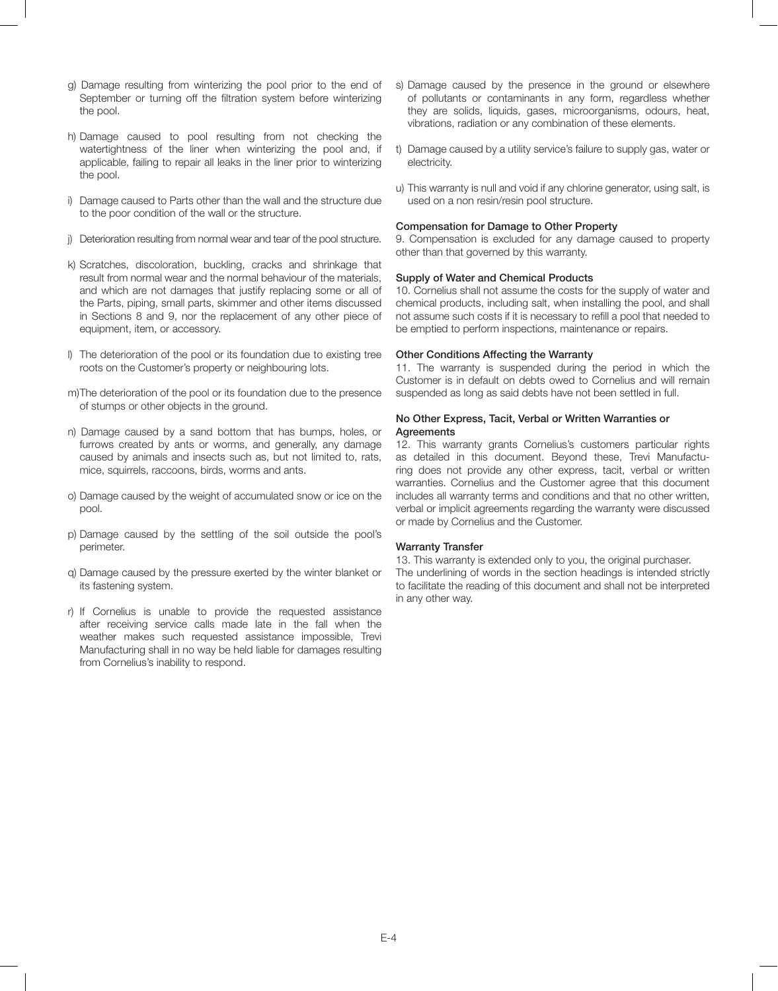- g) Damage resulting from winterizing the pool prior to the end of September or turning off the filtration system before winterizing the pool.
- h) Damage caused to pool resulting from not checking the watertightness of the liner when winterizing the pool and, if applicable, failing to repair all leaks in the liner prior to winterizing the pool.
- i) Damage caused to Parts other than the wall and the structure due to the poor condition of the wall or the structure.
- j) Deterioration resulting from normal wear and tear of the pool structure.
- k) Scratches, discoloration, buckling, cracks and shrinkage that result from normal wear and the normal behaviour of the materials, and which are not damages that justify replacing some or all of the Parts, piping, small parts, skimmer and other items discussed in Sections 8 and 9, nor the replacement of any other piece of equipment, item, or accessory.
- l) The deterioration of the pool or its foundation due to existing tree roots on the Customer's property or neighbouring lots.
- m)The deterioration of the pool or its foundation due to the presence of stumps or other objects in the ground.
- n) Damage caused by a sand bottom that has bumps, holes, or furrows created by ants or worms, and generally, any damage caused by animals and insects such as, but not limited to, rats, mice, squirrels, raccoons, birds, worms and ants.
- o) Damage caused by the weight of accumulated snow or ice on the pool.
- p) Damage caused by the settling of the soil outside the pool's perimeter.
- q) Damage caused by the pressure exerted by the winter blanket or its fastening system.
- r) If Cornelius is unable to provide the requested assistance after receiving service calls made late in the fall when the weather makes such requested assistance impossible, Trevi Manufacturing shall in no way be held liable for damages resulting from Cornelius's inability to respond.
- s) Damage caused by the presence in the ground or elsewhere of pollutants or contaminants in any form, regardless whether they are solids, liquids, gases, microorganisms, odours, heat, vibrations, radiation or any combination of these elements.
- t) Damage caused by a utility service's failure to supply gas, water or electricity.
- u) This warranty is null and void if any chlorine generator, using salt, is used on a non resin/resin pool structure.

#### Compensation for Damage to Other Property

9. Compensation is excluded for any damage caused to property other than that governed by this warranty.

# Supply of Water and Chemical Products

10. Cornelius shall not assume the costs for the supply of water and chemical products, including salt, when installing the pool, and shall not assume such costs if it is necessary to refill a pool that needed to be emptied to perform inspections, maintenance or repairs.

#### Other Conditions Affecting the Warranty

11. The warranty is suspended during the period in which the Customer is in default on debts owed to Cornelius and will remain suspended as long as said debts have not been settled in full.

# No Other Express, Tacit, Verbal or Written Warranties or **Agreements**

12. This warranty grants Cornelius's customers particular rights as detailed in this document. Beyond these, Trevi Manufacturing does not provide any other express, tacit, verbal or written warranties. Cornelius and the Customer agree that this document includes all warranty terms and conditions and that no other written, verbal or implicit agreements regarding the warranty were discussed or made by Cornelius and the Customer.

## Warranty Transfer

13. This warranty is extended only to you, the original purchaser. The underlining of words in the section headings is intended strictly to facilitate the reading of this document and shall not be interpreted in any other way.